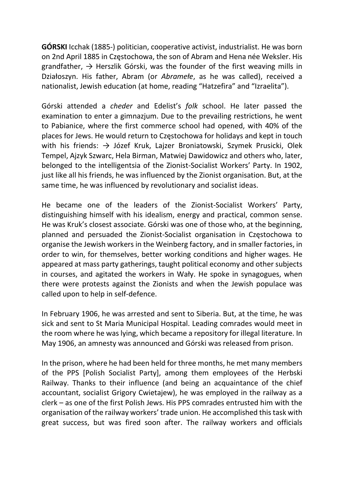GÓRSKI Icchak (1885-) politician, cooperative activist, industrialist. He was born on 2nd April 1885 in Częstochowa, the son of Abram and Hena née Weksler. His grandfather,  $\rightarrow$  Herszlik Górski, was the founder of the first weaving mills in Działoszyn. His father, Abram (or Abramełe, as he was called), received a nationalist, Jewish education (at home, reading "Hatzefira" and "Izraelita").

Górski attended a cheder and Edelist's folk school. He later passed the examination to enter a gimnazjum. Due to the prevailing restrictions, he went to Pabianice, where the first commerce school had opened, with 40% of the places for Jews. He would return to Częstochowa for holidays and kept in touch with his friends: → Józef Kruk, Lajzer Broniatowski, Szymek Prusicki, Olek Tempel, Ajzyk Szwarc, Hela Birman, Matwiej Dawidowicz and others who, later, belonged to the intelligentsia of the Zionist-Socialist Workers' Party. In 1902, just like all his friends, he was influenced by the Zionist organisation. But, at the same time, he was influenced by revolutionary and socialist ideas.

He became one of the leaders of the Zionist-Socialist Workers' Party, distinguishing himself with his idealism, energy and practical, common sense. He was Kruk's closest associate. Górski was one of those who, at the beginning, planned and persuaded the Zionist-Socialist organisation in Częstochowa to organise the Jewish workers in the Weinberg factory, and in smaller factories, in order to win, for themselves, better working conditions and higher wages. He appeared at mass party gatherings, taught political economy and other subjects in courses, and agitated the workers in Wały. He spoke in synagogues, when there were protests against the Zionists and when the Jewish populace was called upon to help in self-defence.

In February 1906, he was arrested and sent to Siberia. But, at the time, he was sick and sent to St Maria Municipal Hospital. Leading comrades would meet in the room where he was lying, which became a repository for illegal literature. In May 1906, an amnesty was announced and Górski was released from prison.

In the prison, where he had been held for three months, he met many members of the PPS [Polish Socialist Party], among them employees of the Herbski Railway. Thanks to their influence (and being an acquaintance of the chief accountant, socialist Grigory Cwietajew), he was employed in the railway as a clerk – as one of the first Polish Jews. His PPS comrades entrusted him with the organisation of the railway workers' trade union. He accomplished this task with great success, but was fired soon after. The railway workers and officials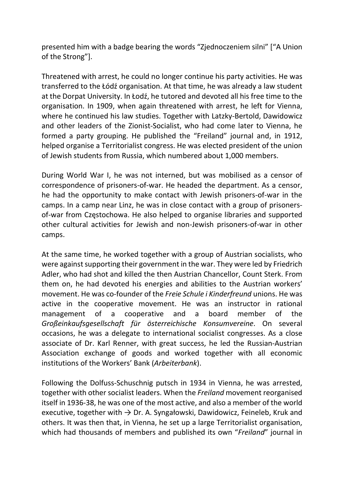presented him with a badge bearing the words "Zjednoczeniem silni" ["A Union of the Strong"].

Threatened with arrest, he could no longer continue his party activities. He was transferred to the Łódź organisation. At that time, he was already a law student at the Dorpat University. In Łodź, he tutored and devoted all his free time to the organisation. In 1909, when again threatened with arrest, he left for Vienna, where he continued his law studies. Together with Latzky-Bertold, Dawidowicz and other leaders of the Zionist-Socialist, who had come later to Vienna, he formed a party grouping. He published the "Freiland" journal and, in 1912, helped organise a Territorialist congress. He was elected president of the union of Jewish students from Russia, which numbered about 1,000 members.

During World War I, he was not interned, but was mobilised as a censor of correspondence of prisoners-of-war. He headed the department. As a censor, he had the opportunity to make contact with Jewish prisoners-of-war in the camps. In a camp near Linz, he was in close contact with a group of prisonersof-war from Częstochowa. He also helped to organise libraries and supported other cultural activities for Jewish and non-Jewish prisoners-of-war in other camps.

At the same time, he worked together with a group of Austrian socialists, who were against supporting their government in the war. They were led by Friedrich Adler, who had shot and killed the then Austrian Chancellor, Count Sterk. From them on, he had devoted his energies and abilities to the Austrian workers' movement. He was co-founder of the Freie Schule i Kinderfreund unions. He was active in the cooperative movement. He was an instructor in rational management of a cooperative and a board member of the Großeinkaufsgesellschaft für österreichische Konsumvereine. On several occasions, he was a delegate to international socialist congresses. As a close associate of Dr. Karl Renner, with great success, he led the Russian-Austrian Association exchange of goods and worked together with all economic institutions of the Workers' Bank (Arbeiterbank).

Following the Dolfuss-Schuschnig putsch in 1934 in Vienna, he was arrested, together with other socialist leaders. When the Freiland movement reorganised itself in 1936-38, he was one of the most active, and also a member of the world executive, together with  $\rightarrow$  Dr. A. Syngałowski, Dawidowicz, Feineleb, Kruk and others. It was then that, in Vienna, he set up a large Territorialist organisation, which had thousands of members and published its own "Freiland" journal in